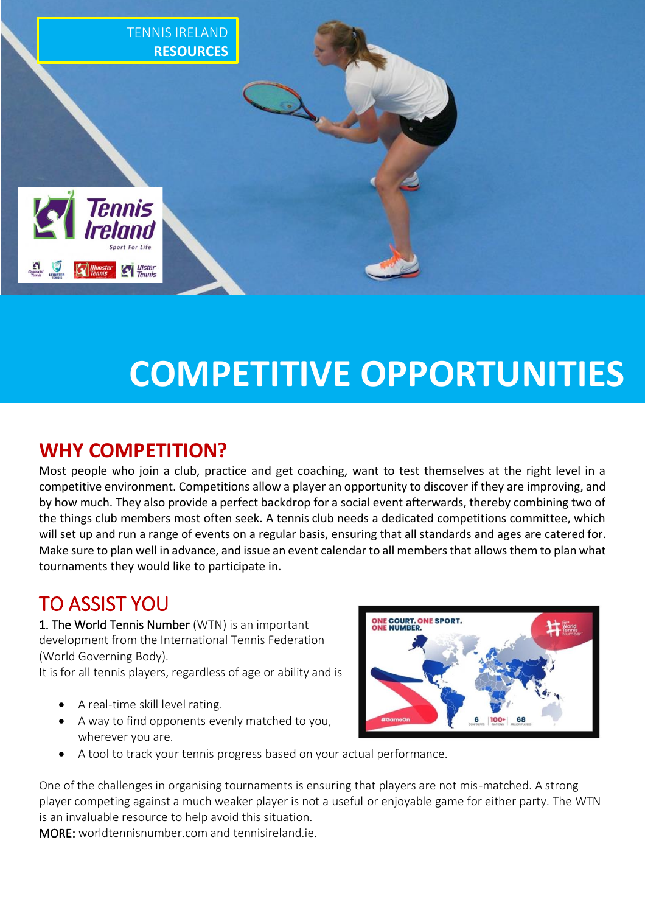

# **COMPETITIVE OPPORTUNITIES**

# **WHY COMPETITION?**

Most people who join a club, practice and get coaching, want to test themselves at the right level in a competitive environment. Competitions allow a player an opportunity to discover if they are improving, and by how much. They also provide a perfect backdrop for a social event afterwards, thereby combining two of the things club members most often seek. A tennis club needs a dedicated competitions committee, which will set up and run a range of events on a regular basis, ensuring that all standards and ages are catered for. Make sure to plan well in advance, and issue an event calendar to all members that allows them to plan what tournaments they would like to participate in.

# TO ASSIST YOU

1. The World Tennis Number (WTN) is an important development from the International Tennis Federation (World Governing Body).

It is for all tennis players, regardless of age or ability and is

- A real-time skill level rating.
- A way to find opponents evenly matched to you, wherever you are.



• A tool to track your tennis progress based on your actual performance.

One of the challenges in organising tournaments is ensuring that players are not mis-matched. A strong player competing against a much weaker player is not a useful or enjoyable game for either party. The WTN is an invaluable resource to help avoid this situation.

MORE: worldtennisnumber.com and tennisireland.ie.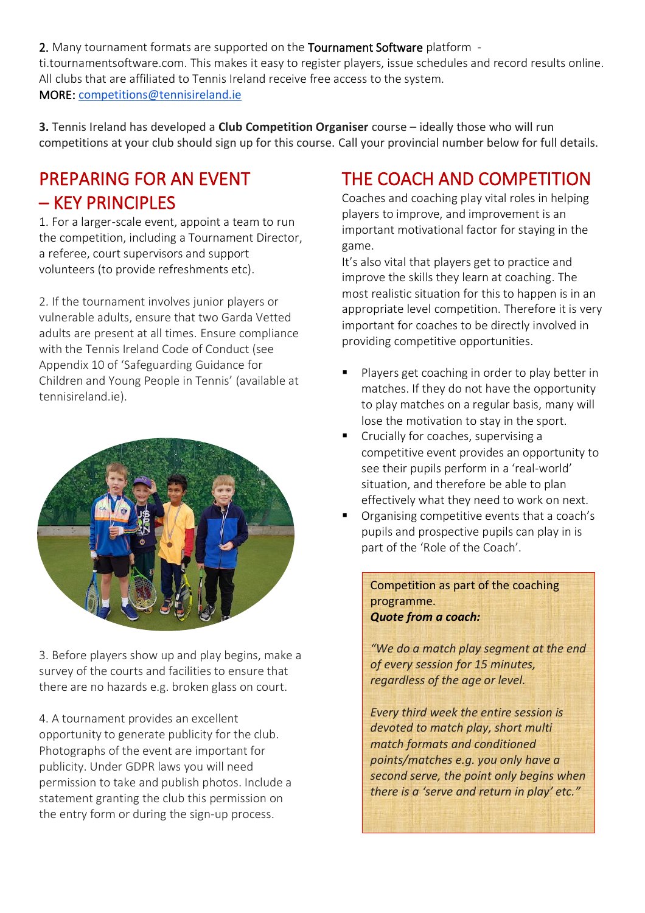2. Many tournament formats are supported on the Tournament Software platform ti.tournamentsoftware.com. This makes it easy to register players, issue schedules and record results online. All clubs that are affiliated to Tennis Ireland receive free access to the system. MORE: [competitions@tennisireland.ie](mailto:competitions@tennisireland.ie)

**3.** Tennis Ireland has developed a **Club Competition Organiser** course – ideally those who will run competitions at your club should sign up for this course. Call your provincial number below for full details.

# PREPARING FOR AN EVENT – KEY PRINCIPLES

1. For a larger-scale event, appoint a team to run the competition, including a Tournament Director, a referee, court supervisors and support volunteers (to provide refreshments etc).

2. If the tournament involves junior players or vulnerable adults, ensure that two Garda Vetted adults are present at all times. Ensure compliance with the Tennis Ireland Code of Conduct (see Appendix 10 of 'Safeguarding Guidance for Children and Young People in Tennis' (available at tennisireland.ie).



3. Before players show up and play begins, make a survey of the courts and facilities to ensure that there are no hazards e.g. broken glass on court.

4. A tournament provides an excellent opportunity to generate publicity for the club. Photographs of the event are important for publicity. Under GDPR laws you will need permission to take and publish photos. Include a statement granting the club this permission on the entry form or during the sign-up process.

# THE COACH AND COMPETITION

Coaches and coaching play vital roles in helping players to improve, and improvement is an important motivational factor for staying in the game.

It's also vital that players get to practice and improve the skills they learn at coaching. The most realistic situation for this to happen is in an appropriate level competition. Therefore it is very important for coaches to be directly involved in providing competitive opportunities.

- Players get coaching in order to play better in matches. If they do not have the opportunity to play matches on a regular basis, many will lose the motivation to stay in the sport.
- Crucially for coaches, supervising a competitive event provides an opportunity to see their pupils perform in a 'real-world' situation, and therefore be able to plan effectively what they need to work on next.
- Organising competitive events that a coach's pupils and prospective pupils can play in is part of the 'Role of the Coach'.

Competition as part of the coaching programme. *Quote from a coach:*

*"We do a match play segment at the end of every session for 15 minutes, regardless of the age or level.*

*Every third week the entire session is devoted to match play, short multi match formats and conditioned points/matches e.g. you only have a second serve, the point only begins when there is a 'serve and return in play' etc."*